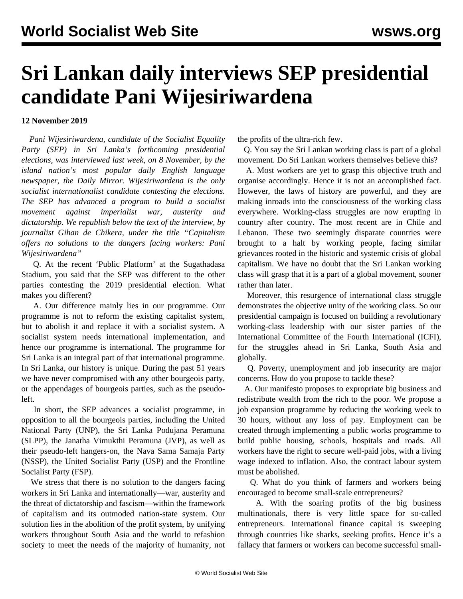## **Sri Lankan daily interviews SEP presidential candidate Pani Wijesiriwardena**

## **12 November 2019**

 *Pani Wijesiriwardena, candidate of the Socialist Equality Party (SEP) in Sri Lanka's forthcoming presidential elections, was interviewed last week, on 8 November, by the island nation's most popular daily English language newspaper, the Daily Mirror. Wijesiriwardena is the only socialist internationalist candidate contesting the elections. The SEP has advanced a program to build a socialist movement against imperialist war, austerity and dictatorship. We republish below the text of the interview, by journalist Gihan de Chikera, under the title "Capitalism offers no solutions to the dangers facing workers: Pani Wijesiriwardena"*

 Q. At the recent 'Public Platform' at the Sugathadasa Stadium, you said that the SEP was different to the other parties contesting the 2019 presidential election. What makes you different?

 A. Our difference mainly lies in our programme. Our programme is not to reform the existing capitalist system, but to abolish it and replace it with a socialist system. A socialist system needs international implementation, and hence our programme is international. The programme for Sri Lanka is an integral part of that international programme. In Sri Lanka, our history is unique. During the past 51 years we have never compromised with any other bourgeois party, or the appendages of bourgeois parties, such as the pseudoleft.

 In short, the SEP advances a socialist programme, in opposition to all the bourgeois parties, including the United National Party (UNP), the Sri Lanka Podujana Peramuna (SLPP), the Janatha Vimukthi Peramuna (JVP), as well as their pseudo-left hangers-on, the Nava Sama Samaja Party (NSSP), the United Socialist Party (USP) and the Frontline Socialist Party (FSP).

 We stress that there is no solution to the dangers facing workers in Sri Lanka and internationally—war, austerity and the threat of dictatorship and fascism—within the framework of capitalism and its outmoded nation-state system. Our solution lies in the abolition of the profit system, by unifying workers throughout South Asia and the world to refashion society to meet the needs of the majority of humanity, not the profits of the ultra-rich few.

 Q. You say the Sri Lankan working class is part of a global movement. Do Sri Lankan workers themselves believe this?

 A. Most workers are yet to grasp this objective truth and organise accordingly. Hence it is not an accomplished fact. However, the laws of history are powerful, and they are making inroads into the consciousness of the working class everywhere. Working-class struggles are now erupting in country after country. The most recent are in Chile and Lebanon. These two seemingly disparate countries were brought to a halt by working people, facing similar grievances rooted in the historic and systemic crisis of global capitalism. We have no doubt that the Sri Lankan working class will grasp that it is a part of a global movement, sooner rather than later.

 Moreover, this resurgence of international class struggle demonstrates the objective unity of the working class. So our presidential campaign is focused on building a revolutionary working-class leadership with our sister parties of the International Committee of the Fourth International (ICFI), for the struggles ahead in Sri Lanka, South Asia and globally.

 Q. Poverty, unemployment and job insecurity are major concerns. How do you propose to tackle these?

 A. Our manifesto proposes to expropriate big business and redistribute wealth from the rich to the poor. We propose a job expansion programme by reducing the working week to 30 hours, without any loss of pay. Employment can be created through implementing a public works programme to build public housing, schools, hospitals and roads. All workers have the right to secure well-paid jobs, with a living wage indexed to inflation. Also, the contract labour system must be abolished.

 Q. What do you think of farmers and workers being encouraged to become small-scale entrepreneurs?

 A. With the soaring profits of the big business multinationals, there is very little space for so-called entrepreneurs. International finance capital is sweeping through countries like sharks, seeking profits. Hence it's a fallacy that farmers or workers can become successful small